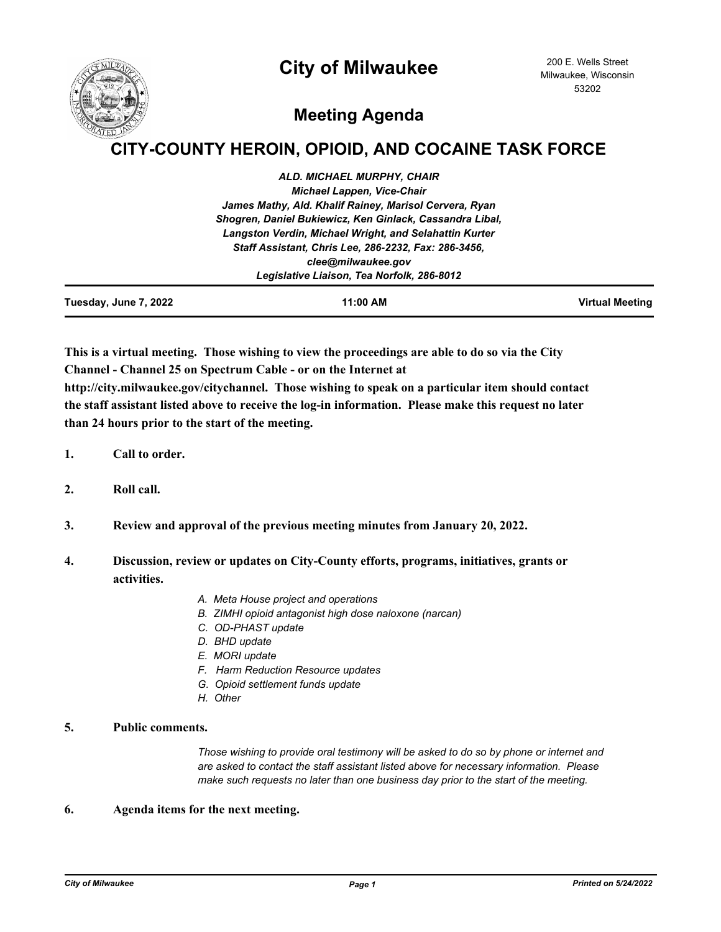



# **Meeting Agenda**

# **CITY-COUNTY HEROIN, OPIOID, AND COCAINE TASK FORCE**

| <b>Fuesday, June 7, 2022</b> | 11:00 AM                                                 | Virtual Meeting |
|------------------------------|----------------------------------------------------------|-----------------|
|                              | Legislative Liaison, Tea Norfolk, 286-8012               |                 |
|                              | clee@milwaukee.gov                                       |                 |
|                              | Staff Assistant, Chris Lee, 286-2232, Fax: 286-3456,     |                 |
|                              | Langston Verdin, Michael Wright, and Selahattin Kurter   |                 |
|                              | Shogren, Daniel Bukiewicz, Ken Ginlack, Cassandra Libal, |                 |
|                              | James Mathy, Ald. Khalif Rainey, Marisol Cervera, Ryan   |                 |
|                              | <b>Michael Lappen, Vice-Chair</b>                        |                 |
|                              | <b>ALD. MICHAEL MURPHY, CHAIR</b>                        |                 |

**This is a virtual meeting. Those wishing to view the proceedings are able to do so via the City Channel - Channel 25 on Spectrum Cable - or on the Internet at** 

**http://city.milwaukee.gov/citychannel. Those wishing to speak on a particular item should contact the staff assistant listed above to receive the log-in information. Please make this request no later than 24 hours prior to the start of the meeting.**

- **1. Call to order.**
- **2. Roll call.**
- **3. Review and approval of the previous meeting minutes from January 20, 2022.**
- **4. Discussion, review or updates on City-County efforts, programs, initiatives, grants or activities.**
	- *A. Meta House project and operations*
	- *B. ZIMHI opioid antagonist high dose naloxone (narcan)*
	- *C. OD-PHAST update*
	- *D. BHD update*
	- *E. MORI update*
	- *F. Harm Reduction Resource updates*
	- *G. Opioid settlement funds update*
	- *H. Other*

## **5. Public comments.**

*Those wishing to provide oral testimony will be asked to do so by phone or internet and are asked to contact the staff assistant listed above for necessary information. Please make such requests no later than one business day prior to the start of the meeting.*

### **6. Agenda items for the next meeting.**